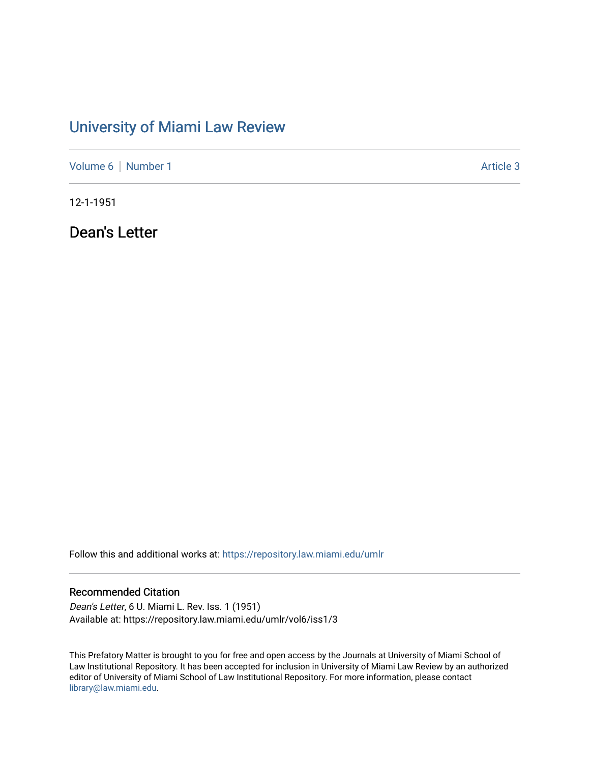## [University of Miami Law Review](https://repository.law.miami.edu/umlr)

[Volume 6](https://repository.law.miami.edu/umlr/vol6) | [Number 1](https://repository.law.miami.edu/umlr/vol6/iss1) Article 3

12-1-1951

Dean's Letter

Follow this and additional works at: [https://repository.law.miami.edu/umlr](https://repository.law.miami.edu/umlr?utm_source=repository.law.miami.edu%2Fumlr%2Fvol6%2Fiss1%2F3&utm_medium=PDF&utm_campaign=PDFCoverPages)

## Recommended Citation

Dean's Letter, 6 U. Miami L. Rev. Iss. 1 (1951) Available at: https://repository.law.miami.edu/umlr/vol6/iss1/3

This Prefatory Matter is brought to you for free and open access by the Journals at University of Miami School of Law Institutional Repository. It has been accepted for inclusion in University of Miami Law Review by an authorized editor of University of Miami School of Law Institutional Repository. For more information, please contact [library@law.miami.edu.](mailto:library@law.miami.edu)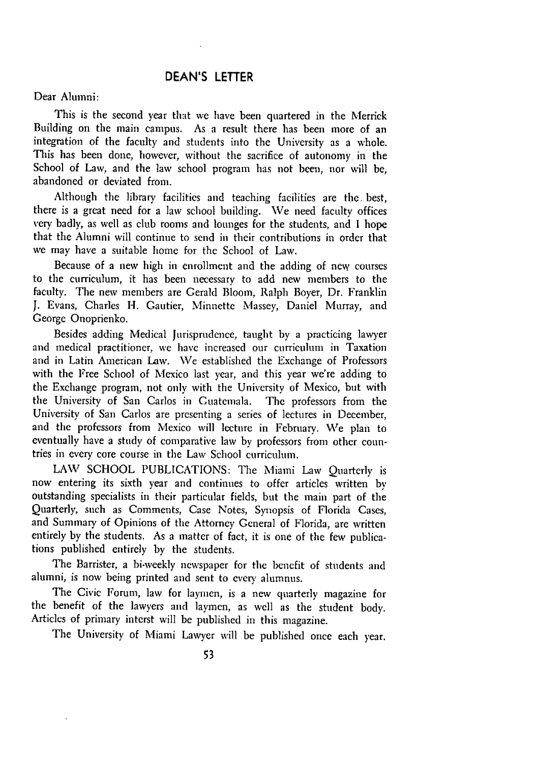## **DEAN'S** LETTER

## Dear Alumni:

This is the second year that we have been quartered in the Merrick Building on the main campus. As a result there has been more of an integration of the faculty and students into the University as a whole. This has been done, however, without the sacrifice of autonomy in the School of Law, and the law school program has not been, nor will be, abandoned or deviated from.

Although the library facilities and teaching facilities are the. best, there is a great need for a law school building. We need faculty offices very badly, as well as club rooms and lounges for the students, and I hope that the Alumni will continue to send in their contributions in order that we may have a suitable home for the School of Law.

Because of a new high in enrollment and the adding of new courses to the curriculum, it has been necessary to add new members to the faculty. The new members are Gerald Bloom, Ralph Boyer, Dr. Franklin J. Evans, Charles H. Gautier, Minnette Massey, Daniel Murray, and George Onoprienko.

Besides adding Medical Jurisprudence, taught by a practicing lawyer and medical practitioner, we have increased our curriculum in Taxation and in Latin American Law. We established the Exchange of Professors with the Free School of Mexico last year, and this year we're adding to the Exchange program, not only with the University of Mexico, but with the University of San Carlos in Guatemala. The professors from the University of San Carlos are presenting a series of lectures in December, and the professors from Mexico will lecture in February. We plan to eventually have a study of comparative law by professors from other countries in every core course in the Law School curriculum.

LAW SCHOOL PUBLICATIONS: The Miami Law Quarterly is now entering its sixth year and continues to offer articles written by outstanding specialists in their particular fields, but the main part of the Quarterly, such as Comments, Case Notes, Synopsis of Florida Cases, and Summary of Opinions of the Attorney General of Florida, are written entirely by the students. As a matter of fact, it is one of the few publications published entirely by the students.

The Barrister, a hi-weekly newspaper for the benefit of students and alumni, is now being printed and sent to every alumnus.

The Civic Forum, law for laymen, is a new quarterly magazine for the benefit of the lawyers and laymen, as well as the student body. Articles of primary interst will be published in this magazine.

The University of Miami Lawyer will be published once each year.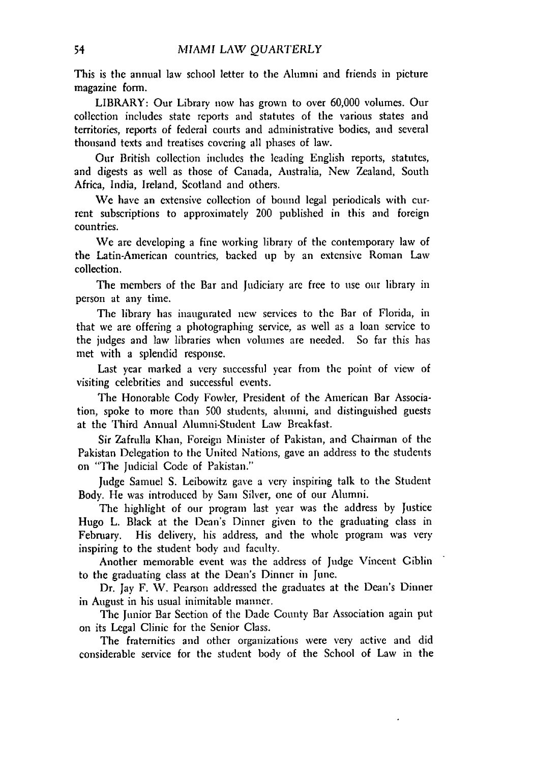This is the annual law school letter to the Alumni and friends in picture magazine form.

LIBRARY: Our Library now has grown to over 60,000 volumes. Our collection includes state reports and statutes of the various states and territories, reports of federal courts and administrative bodies, and several thousand texts and treatises covering all phases of law.

Our British collection includes the leading English reports, statutes, and digests as well as those of Canada, Australia, New Zealand, South Africa, India, Ireland, Scotland and others.

We have an extensive collection of bound legal periodicals with current subscriptions to approximately 200 published in this and foreign countries.

We are developing a fine working library of the contemporary law of the Latin-American countries, backed up by an extensive Roman Law collection.

The members of the Bar and Judiciary are free to use our library in person at any time.

The library has inaugurated new services to the Bar of Florida, in that we are offering a photographing service, as well as a loan service to the judges and law libraries when volumes are needed. So far this has met with a splendid response.

Last year marked a very successful year from the point of view of visiting celebrities and successful events.

The Honorable Cody Fowler, President of the American Bar Association, spoke to more than 500 students, aluuni, and distinguished guests at the Third Annual Alumni-Student Law Breakfast.

Sir Zafrulla Khan, Foreign Minister of Pakistan, and Chairman of the Pakistan Delegation to the United Nations, gave an address to the students on "The Judicial Code of Pakistan."

Judge Samuel S. Leibowitz gave a very inspiring talk to the Student Body. He was introduced by Sam Silver, one of our Alumni.

The highlight of our program last year was the address by Justice Hugo L. Black at the Dean's Dinner given to the graduating class in February. His delivery, his address, and the whole program was very inspiring to the student body and faculty.

Another memorable event was the address of Judge Vincent Giblin to the graduating class at the Dean's Dinner in June.

Dr. Jay F. V. Pearson addressed the graduates at the Dean's Dinner in August in his usual inimitable manner.

The Junior Bar Section of the Dade County Bar Association again put on its Legal Clinic for the Senior Class.

The fraternities and other organizations were very active and did considerable service for the student body of the School of Law in the